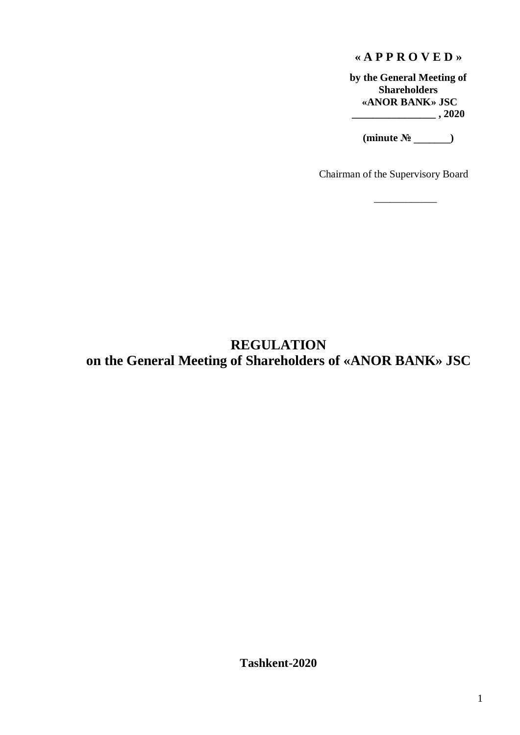## **« A P P R O V E D »**

**by the General Meeting of Shareholders «ANOR BANK» JSC \_\_\_\_\_\_\_\_\_\_\_\_\_\_\_\_ , 2020**

**(minute № \_\_\_\_\_\_\_)**

\_\_\_\_\_\_\_\_\_\_\_\_

Chairman of the Supervisory Board

# **REGULATION on the General Meeting of Shareholders of «ANOR BANK» JSC**

**Tashkent-2020**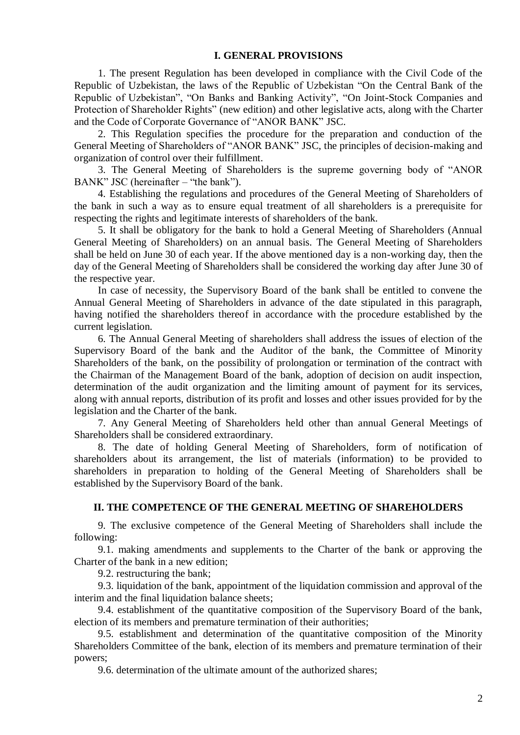#### **I. GENERAL PROVISIONS**

1. The present Regulation has been developed in compliance with the Civil Code of the Republic of Uzbekistan, the laws of the Republic of Uzbekistan "On the Central Bank of the Republic of Uzbekistan", "On Banks and Banking Activity", "On Joint-Stock Companies and Protection of Shareholder Rights" (new edition) and other legislative acts, along with the Charter and the Code of Corporate Governance of "ANOR BANK" JSC.

2. This Regulation specifies the procedure for the preparation and conduction of the General Meeting of Shareholders of "ANOR BANK" JSC, the principles of decision-making and organization of control over their fulfillment.

3. The General Meeting of Shareholders is the supreme governing body of "ANOR BANK" JSC (hereinafter – "the bank").

4. Establishing the regulations and procedures of the General Meeting of Shareholders of the bank in such a way as to ensure equal treatment of all shareholders is a prerequisite for respecting the rights and legitimate interests of shareholders of the bank.

5. It shall be obligatory for the bank to hold a General Meeting of Shareholders (Annual General Meeting of Shareholders) on an annual basis. The General Meeting of Shareholders shall be held on June 30 of each year. If the above mentioned day is a non-working day, then the day of the General Meeting of Shareholders shall be considered the working day after June 30 of the respective year.

In case of necessity, the Supervisory Board of the bank shall be entitled to convene the Annual General Meeting of Shareholders in advance of the date stipulated in this paragraph, having notified the shareholders thereof in accordance with the procedure established by the current legislation.

6. The Annual General Meeting of shareholders shall address the issues of election of the Supervisory Board of the bank and the Auditor of the bank, the Committee of Minority Shareholders of the bank, on the possibility of prolongation or termination of the contract with the Chairman of the Management Board of the bank, adoption of decision on audit inspection, determination of the audit organization and the limiting amount of payment for its services, along with annual reports, distribution of its profit and losses and other issues provided for by the legislation and the Charter of the bank.

7. Any General Meeting of Shareholders held other than annual General Meetings of Shareholders shall be considered extraordinary.

8. The date of holding General Meeting of Shareholders, form of notification of shareholders about its arrangement, the list of materials (information) to be provided to shareholders in preparation to holding of the General Meeting of Shareholders shall be established by the Supervisory Board of the bank.

## **II. THE COMPETENCE OF THE GENERAL MEETING OF SHAREHOLDERS**

9. The exclusive competence of the General Meeting of Shareholders shall include the following:

9.1. making amendments and supplements to the Charter of the bank or approving the Charter of the bank in a new edition;

9.2. restructuring the bank;

9.3. liquidation of the bank, appointment of the liquidation commission and approval of the interim and the final liquidation balance sheets;

9.4. establishment of the quantitative composition of the Supervisory Board of the bank, election of its members and premature termination of their authorities;

9.5. establishment and determination of the quantitative composition of the Minority Shareholders Committee of the bank, election of its members and premature termination of their powers;

9.6. determination of the ultimate amount of the authorized shares;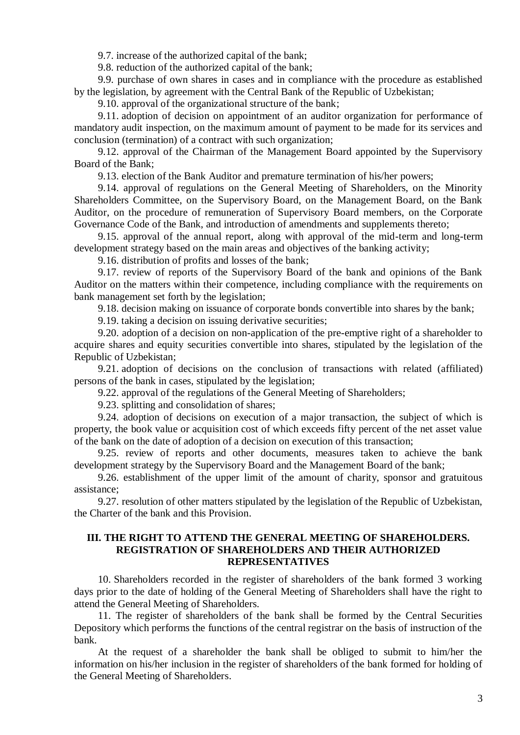9.7. increase of the authorized capital of the bank;

9.8. reduction of the authorized capital of the bank;

9.9. purchase of own shares in cases and in compliance with the procedure as established by the legislation, by agreement with the Central Bank of the Republic of Uzbekistan;

9.10. approval of the organizational structure of the bank;

9.11. adoption of decision on appointment of an auditor organization for performance of mandatory audit inspection, on the maximum amount of payment to be made for its services and conclusion (termination) of a contract with such organization;

9.12. approval of the Chairman of the Management Board appointed by the Supervisory Board of the Bank;

9.13. election of the Bank Auditor and premature termination of his/her powers;

9.14. approval of regulations on the General Meeting of Shareholders, on the Minority Shareholders Committee, on the Supervisory Board, on the Management Board, on the Bank Auditor, on the procedure of remuneration of Supervisory Board members, on the Corporate Governance Code of the Bank, and introduction of amendments and supplements thereto;

9.15. approval of the annual report, along with approval of the mid-term and long-term development strategy based on the main areas and objectives of the banking activity;

9.16. distribution of profits and losses of the bank;

9.17. review of reports of the Supervisory Board of the bank and opinions of the Bank Auditor on the matters within their competence, including compliance with the requirements on bank management set forth by the legislation;

9.18. decision making on issuance of corporate bonds convertible into shares by the bank;

9.19. taking a decision on issuing derivative securities;

9.20. adoption of a decision on non-application of the pre-emptive right of a shareholder to acquire shares and equity securities convertible into shares, stipulated by the legislation of the Republic of Uzbekistan;

9.21. adoption of decisions on the conclusion of transactions with related (affiliated) persons of the bank in cases, stipulated by the legislation;

9.22. approval of the regulations of the General Meeting of Shareholders;

9.23. splitting and consolidation of shares;

9.24. adoption of decisions on execution of a major transaction, the subject of which is property, the book value or acquisition cost of which exceeds fifty percent of the net asset value of the bank on the date of adoption of a decision on execution of this transaction;

9.25. review of reports and other documents, measures taken to achieve the bank development strategy by the Supervisory Board and the Management Board of the bank;

9.26. establishment of the upper limit of the amount of charity, sponsor and gratuitous assistance;

9.27. resolution of other matters stipulated by the legislation of the Republic of Uzbekistan, the Charter of the bank and this Provision.

#### **III. THE RIGHT TO ATTEND THE GENERAL MEETING OF SHAREHOLDERS. REGISTRATION OF SHAREHOLDERS AND THEIR AUTHORIZED REPRESENTATIVES**

10. Shareholders recorded in the register of shareholders of the bank formed 3 working days prior to the date of holding of the General Meeting of Shareholders shall have the right to attend the General Meeting of Shareholders.

11. The register of shareholders of the bank shall be formed by the Central Securities Depository which performs the functions of the central registrar on the basis of instruction of the bank.

At the request of a shareholder the bank shall be obliged to submit to him/her the information on his/her inclusion in the register of shareholders of the bank formed for holding of the General Meeting of Shareholders.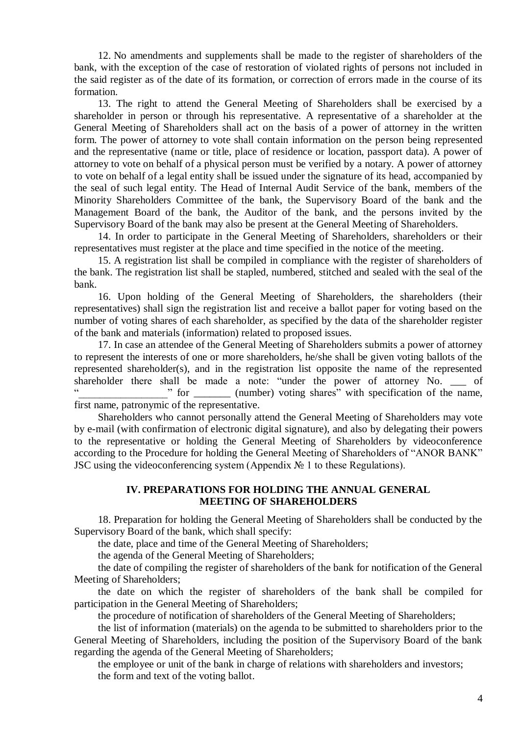12. No amendments and supplements shall be made to the register of shareholders of the bank, with the exception of the case of restoration of violated rights of persons not included in the said register as of the date of its formation, or correction of errors made in the course of its formation.

13. The right to attend the General Meeting of Shareholders shall be exercised by a shareholder in person or through his representative. A representative of a shareholder at the General Meeting of Shareholders shall act on the basis of a power of attorney in the written form. The power of attorney to vote shall contain information on the person being represented and the representative (name or title, place of residence or location, passport data). A power of attorney to vote on behalf of a physical person must be verified by a notary. A power of attorney to vote on behalf of a legal entity shall be issued under the signature of its head, accompanied by the seal of such legal entity. The Head of Internal Audit Service of the bank, members of the Minority Shareholders Committee of the bank, the Supervisory Board of the bank and the Management Board of the bank, the Auditor of the bank, and the persons invited by the Supervisory Board of the bank may also be present at the General Meeting of Shareholders.

14. In order to participate in the General Meeting of Shareholders, shareholders or their representatives must register at the place and time specified in the notice of the meeting.

15. A registration list shall be compiled in compliance with the register of shareholders of the bank. The registration list shall be stapled, numbered, stitched and sealed with the seal of the bank.

16. Upon holding of the General Meeting of Shareholders, the shareholders (their representatives) shall sign the registration list and receive a ballot paper for voting based on the number of voting shares of each shareholder, as specified by the data of the shareholder register of the bank and materials (information) related to proposed issues.

17. In case an attendee of the General Meeting of Shareholders submits a power of attorney to represent the interests of one or more shareholders, he/she shall be given voting ballots of the represented shareholder(s), and in the registration list opposite the name of the represented shareholder there shall be made a note: "under the power of attorney No. \_\_\_ of " for \_\_\_\_\_\_\_\_ (number) voting shares" with specification of the name, first name, patronymic of the representative.

Shareholders who cannot personally attend the General Meeting of Shareholders may vote by e-mail (with confirmation of electronic digital signature), and also by delegating their powers to the representative or holding the General Meeting of Shareholders by videoconference according to the Procedure for holding the General Meeting of Shareholders of "ANOR BANK" JSC using the videoconferencing system (Appendix № 1 to these Regulations).

#### **IV. PREPARATIONS FOR HOLDING THE ANNUAL GENERAL MEETING OF SHAREHOLDERS**

18. Preparation for holding the General Meeting of Shareholders shall be conducted by the Supervisory Board of the bank, which shall specify:

the date, place and time of the General Meeting of Shareholders;

the agenda of the General Meeting of Shareholders;

the date of compiling the register of shareholders of the bank for notification of the General Meeting of Shareholders;

the date on which the register of shareholders of the bank shall be compiled for participation in the General Meeting of Shareholders;

the procedure of notification of shareholders of the General Meeting of Shareholders;

the list of information (materials) on the agenda to be submitted to shareholders prior to the General Meeting of Shareholders, including the position of the Supervisory Board of the bank regarding the agenda of the General Meeting of Shareholders;

the employee or unit of the bank in charge of relations with shareholders and investors; the form and text of the voting ballot.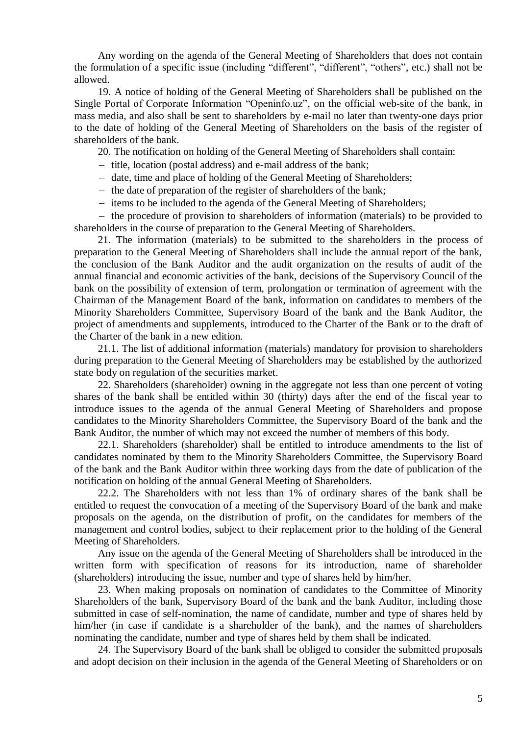Any wording on the agenda of the General Meeting of Shareholders that does not contain the formulation of a specific issue (including "different", "different", "others", etc.) shall not be allowed.

19. A notice of holding of the General Meeting of Shareholders shall be published on the Single Portal of Corporate Information "Openinfo.uz", on the official web-site of the bank, in mass media, and also shall be sent to shareholders by e-mail no later than twenty-one days prior to the date of holding of the General Meeting of Shareholders on the basis of the register of shareholders of the bank.

20. The notification on holding of the General Meeting of Shareholders shall contain:

- title, location (postal address) and e-mail address of the bank;
- date, time and place of holding of the General Meeting of Shareholders;
- $-$  the date of preparation of the register of shareholders of the bank;
- items to be included to the agenda of the General Meeting of Shareholders;

- the procedure of provision to shareholders of information (materials) to be provided to shareholders in the course of preparation to the General Meeting of Shareholders.

21. The information (materials) to be submitted to the shareholders in the process of preparation to the General Meeting of Shareholders shall include the annual report of the bank, the conclusion of the Bank Auditor and the audit organization on the results of audit of the annual financial and economic activities of the bank, decisions of the Supervisory Council of the bank on the possibility of extension of term, prolongation or termination of agreement with the Chairman of the Management Board of the bank, information on candidates to members of the Minority Shareholders Committee, Supervisory Board of the bank and the Bank Auditor, the project of amendments and supplements, introduced to the Charter of the Bank or to the draft of the Charter of the bank in a new edition.

21.1. The list of additional information (materials) mandatory for provision to shareholders during preparation to the General Meeting of Shareholders may be established by the authorized state body on regulation of the securities market.

22. Shareholders (shareholder) owning in the aggregate not less than one percent of voting shares of the bank shall be entitled within 30 (thirty) days after the end of the fiscal year to introduce issues to the agenda of the annual General Meeting of Shareholders and propose candidates to the Minority Shareholders Committee, the Supervisory Board of the bank and the Bank Auditor, the number of which may not exceed the number of members of this body.

22.1. Shareholders (shareholder) shall be entitled to introduce amendments to the list of candidates nominated by them to the Minority Shareholders Committee, the Supervisory Board of the bank and the Bank Auditor within three working days from the date of publication of the notification on holding of the annual General Meeting of Shareholders.

22.2. The Shareholders with not less than 1% of ordinary shares of the bank shall be entitled to request the convocation of a meeting of the Supervisory Board of the bank and make proposals on the agenda, on the distribution of profit, on the candidates for members of the management and control bodies, subject to their replacement prior to the holding of the General Meeting of Shareholders.

Any issue on the agenda of the General Meeting of Shareholders shall be introduced in the written form with specification of reasons for its introduction, name of shareholder (shareholders) introducing the issue, number and type of shares held by him/her.

23. When making proposals on nomination of candidates to the Committee of Minority Shareholders of the bank, Supervisory Board of the bank and the bank Auditor, including those submitted in case of self-nomination, the name of candidate, number and type of shares held by him/her (in case if candidate is a shareholder of the bank), and the names of shareholders nominating the candidate, number and type of shares held by them shall be indicated.

24. The Supervisory Board of the bank shall be obliged to consider the submitted proposals and adopt decision on their inclusion in the agenda of the General Meeting of Shareholders or on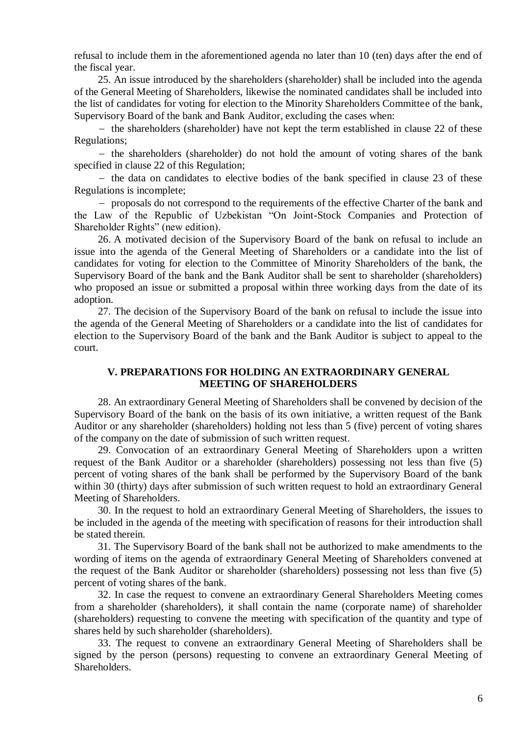refusal to include them in the aforementioned agenda no later than 10 (ten) days after the end of the fiscal year.

25. An issue introduced by the shareholders (shareholder) shall be included into the agenda of the General Meeting of Shareholders, likewise the nominated candidates shall be included into the list of candidates for voting for election to the Minority Shareholders Committee of the bank, Supervisory Board of the bank and Bank Auditor, excluding the cases when:

 $-$  the shareholders (shareholder) have not kept the term established in clause 22 of these Regulations;

 $-$  the shareholders (shareholder) do not hold the amount of voting shares of the bank specified in clause 22 of this Regulation;

 $-$  the data on candidates to elective bodies of the bank specified in clause 23 of these Regulations is incomplete;

- proposals do not correspond to the requirements of the effective Charter of the bank and the Law of the Republic of Uzbekistan "On Joint-Stock Companies and Protection of Shareholder Rights" (new edition).

26. A motivated decision of the Supervisory Board of the bank on refusal to include an issue into the agenda of the General Meeting of Shareholders or a candidate into the list of candidates for voting for election to the Committee of Minority Shareholders of the bank, the Supervisory Board of the bank and the Bank Auditor shall be sent to shareholder (shareholders) who proposed an issue or submitted a proposal within three working days from the date of its adoption.

27. The decision of the Supervisory Board of the bank on refusal to include the issue into the agenda of the General Meeting of Shareholders or a candidate into the list of candidates for election to the Supervisory Board of the bank and the Bank Auditor is subject to appeal to the court.

## **V. PREPARATIONS FOR HOLDING AN EXTRAORDINARY GENERAL MEETING OF SHAREHOLDERS**

28. An extraordinary General Meeting of Shareholders shall be convened by decision of the Supervisory Board of the bank on the basis of its own initiative, a written request of the Bank Auditor or any shareholder (shareholders) holding not less than 5 (five) percent of voting shares of the company on the date of submission of such written request.

29. Convocation of an extraordinary General Meeting of Shareholders upon a written request of the Bank Auditor or a shareholder (shareholders) possessing not less than five (5) percent of voting shares of the bank shall be performed by the Supervisory Board of the bank within 30 (thirty) days after submission of such written request to hold an extraordinary General Meeting of Shareholders.

30. In the request to hold an extraordinary General Meeting of Shareholders, the issues to be included in the agenda of the meeting with specification of reasons for their introduction shall be stated therein.

31. The Supervisory Board of the bank shall not be authorized to make amendments to the wording of items on the agenda of extraordinary General Meeting of Shareholders convened at the request of the Bank Auditor or shareholder (shareholders) possessing not less than five (5) percent of voting shares of the bank.

32. In case the request to convene an extraordinary General Shareholders Meeting comes from a shareholder (shareholders), it shall contain the name (corporate name) of shareholder (shareholders) requesting to convene the meeting with specification of the quantity and type of shares held by such shareholder (shareholders).

33. The request to convene an extraordinary General Meeting of Shareholders shall be signed by the person (persons) requesting to convene an extraordinary General Meeting of **Shareholders**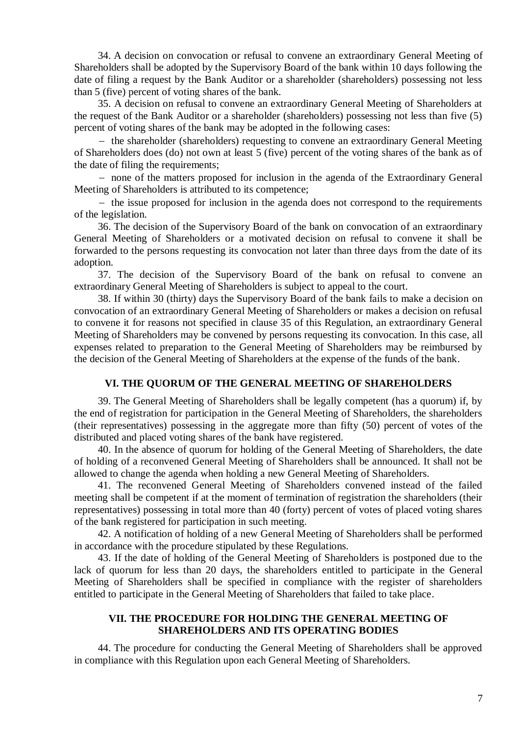34. A decision on convocation or refusal to convene an extraordinary General Meeting of Shareholders shall be adopted by the Supervisory Board of the bank within 10 days following the date of filing a request by the Bank Auditor or a shareholder (shareholders) possessing not less than 5 (five) percent of voting shares of the bank.

35. A decision on refusal to convene an extraordinary General Meeting of Shareholders at the request of the Bank Auditor or a shareholder (shareholders) possessing not less than five (5) percent of voting shares of the bank may be adopted in the following cases:

- the shareholder (shareholders) requesting to convene an extraordinary General Meeting of Shareholders does (do) not own at least 5 (five) percent of the voting shares of the bank as of the date of filing the requirements;

- none of the matters proposed for inclusion in the agenda of the Extraordinary General Meeting of Shareholders is attributed to its competence;

 $-$  the issue proposed for inclusion in the agenda does not correspond to the requirements of the legislation.

36. The decision of the Supervisory Board of the bank on convocation of an extraordinary General Meeting of Shareholders or a motivated decision on refusal to convene it shall be forwarded to the persons requesting its convocation not later than three days from the date of its adoption.

37. The decision of the Supervisory Board of the bank on refusal to convene an extraordinary General Meeting of Shareholders is subject to appeal to the court.

38. If within 30 (thirty) days the Supervisory Board of the bank fails to make a decision on convocation of an extraordinary General Meeting of Shareholders or makes a decision on refusal to convene it for reasons not specified in clause 35 of this Regulation, an extraordinary General Meeting of Shareholders may be convened by persons requesting its convocation. In this case, all expenses related to preparation to the General Meeting of Shareholders may be reimbursed by the decision of the General Meeting of Shareholders at the expense of the funds of the bank.

#### **VI. THE QUORUM OF THE GENERAL MEETING OF SHAREHOLDERS**

39. The General Meeting of Shareholders shall be legally competent (has a quorum) if, by the end of registration for participation in the General Meeting of Shareholders, the shareholders (their representatives) possessing in the aggregate more than fifty (50) percent of votes of the distributed and placed voting shares of the bank have registered.

40. In the absence of quorum for holding of the General Meeting of Shareholders, the date of holding of a reconvened General Meeting of Shareholders shall be announced. It shall not be allowed to change the agenda when holding a new General Meeting of Shareholders.

41. The reconvened General Meeting of Shareholders convened instead of the failed meeting shall be competent if at the moment of termination of registration the shareholders (their representatives) possessing in total more than 40 (forty) percent of votes of placed voting shares of the bank registered for participation in such meeting.

42. A notification of holding of a new General Meeting of Shareholders shall be performed in accordance with the procedure stipulated by these Regulations.

43. If the date of holding of the General Meeting of Shareholders is postponed due to the lack of quorum for less than 20 days, the shareholders entitled to participate in the General Meeting of Shareholders shall be specified in compliance with the register of shareholders entitled to participate in the General Meeting of Shareholders that failed to take place.

## **VII. THE PROCEDURE FOR HOLDING THE GENERAL MEETING OF SHAREHOLDERS AND ITS OPERATING BODIES**

44. The procedure for conducting the General Meeting of Shareholders shall be approved in compliance with this Regulation upon each General Meeting of Shareholders.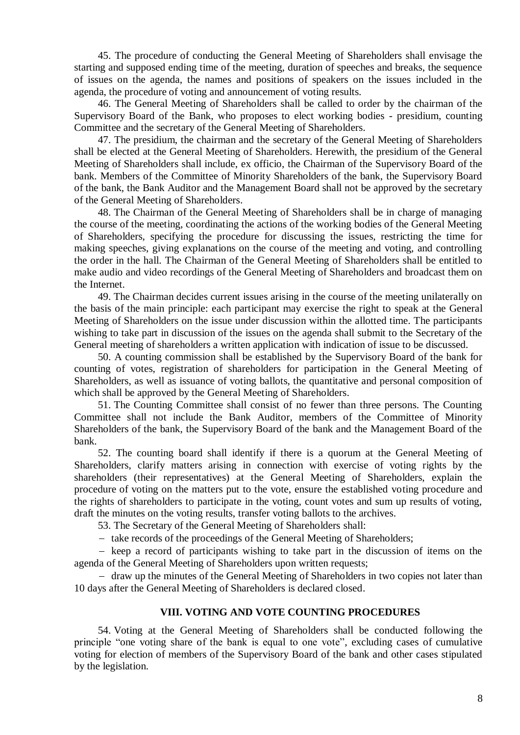45. The procedure of conducting the General Meeting of Shareholders shall envisage the starting and supposed ending time of the meeting, duration of speeches and breaks, the sequence of issues on the agenda, the names and positions of speakers on the issues included in the agenda, the procedure of voting and announcement of voting results.

46. The General Meeting of Shareholders shall be called to order by the chairman of the Supervisory Board of the Bank, who proposes to elect working bodies - presidium, counting Committee and the secretary of the General Meeting of Shareholders.

47. The presidium, the chairman and the secretary of the General Meeting of Shareholders shall be elected at the General Meeting of Shareholders. Herewith, the presidium of the General Meeting of Shareholders shall include, ex officio, the Chairman of the Supervisory Board of the bank. Members of the Committee of Minority Shareholders of the bank, the Supervisory Board of the bank, the Bank Auditor and the Management Board shall not be approved by the secretary of the General Meeting of Shareholders.

48. The Chairman of the General Meeting of Shareholders shall be in charge of managing the course of the meeting, coordinating the actions of the working bodies of the General Meeting of Shareholders, specifying the procedure for discussing the issues, restricting the time for making speeches, giving explanations on the course of the meeting and voting, and controlling the order in the hall. The Chairman of the General Meeting of Shareholders shall be entitled to make audio and video recordings of the General Meeting of Shareholders and broadcast them on the Internet.

49. The Chairman decides current issues arising in the course of the meeting unilaterally on the basis of the main principle: each participant may exercise the right to speak at the General Meeting of Shareholders on the issue under discussion within the allotted time. The participants wishing to take part in discussion of the issues on the agenda shall submit to the Secretary of the General meeting of shareholders a written application with indication of issue to be discussed.

50. A counting commission shall be established by the Supervisory Board of the bank for counting of votes, registration of shareholders for participation in the General Meeting of Shareholders, as well as issuance of voting ballots, the quantitative and personal composition of which shall be approved by the General Meeting of Shareholders.

51. The Counting Committee shall consist of no fewer than three persons. The Counting Committee shall not include the Bank Auditor, members of the Committee of Minority Shareholders of the bank, the Supervisory Board of the bank and the Management Board of the bank.

52. The counting board shall identify if there is a quorum at the General Meeting of Shareholders, clarify matters arising in connection with exercise of voting rights by the shareholders (their representatives) at the General Meeting of Shareholders, explain the procedure of voting on the matters put to the vote, ensure the established voting procedure and the rights of shareholders to participate in the voting, count votes and sum up results of voting, draft the minutes on the voting results, transfer voting ballots to the archives.

53. The Secretary of the General Meeting of Shareholders shall:

- take records of the proceedings of the General Meeting of Shareholders;

 $-$  keep a record of participants wishing to take part in the discussion of items on the agenda of the General Meeting of Shareholders upon written requests;

- draw up the minutes of the General Meeting of Shareholders in two copies not later than 10 days after the General Meeting of Shareholders is declared closed.

#### **VIII. VOTING AND VOTE COUNTING PROCEDURES**

54. Voting at the General Meeting of Shareholders shall be conducted following the principle "one voting share of the bank is equal to one vote", excluding cases of cumulative voting for election of members of the Supervisory Board of the bank and other cases stipulated by the legislation.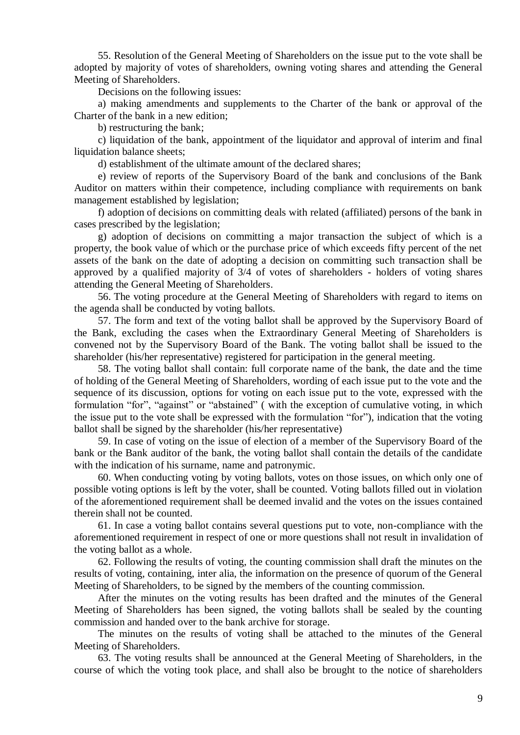55. Resolution of the General Meeting of Shareholders on the issue put to the vote shall be adopted by majority of votes of shareholders, owning voting shares and attending the General Meeting of Shareholders.

Decisions on the following issues:

a) making amendments and supplements to the Charter of the bank or approval of the Charter of the bank in a new edition;

b) restructuring the bank;

c) liquidation of the bank, appointment of the liquidator and approval of interim and final liquidation balance sheets:

d) establishment of the ultimate amount of the declared shares;

e) review of reports of the Supervisory Board of the bank and conclusions of the Bank Auditor on matters within their competence, including compliance with requirements on bank management established by legislation;

f) adoption of decisions on committing deals with related (affiliated) persons of the bank in cases prescribed by the legislation;

g) adoption of decisions on committing a major transaction the subject of which is a property, the book value of which or the purchase price of which exceeds fifty percent of the net assets of the bank on the date of adopting a decision on committing such transaction shall be approved by a qualified majority of 3/4 of votes of shareholders - holders of voting shares attending the General Meeting of Shareholders.

56. The voting procedure at the General Meeting of Shareholders with regard to items on the agenda shall be conducted by voting ballots.

57. The form and text of the voting ballot shall be approved by the Supervisory Board of the Bank, excluding the cases when the Extraordinary General Meeting of Shareholders is convened not by the Supervisory Board of the Bank. The voting ballot shall be issued to the shareholder (his/her representative) registered for participation in the general meeting.

58. The voting ballot shall contain: full corporate name of the bank, the date and the time of holding of the General Meeting of Shareholders, wording of each issue put to the vote and the sequence of its discussion, options for voting on each issue put to the vote, expressed with the formulation "for", "against" or "abstained" (with the exception of cumulative voting, in which the issue put to the vote shall be expressed with the formulation "for"), indication that the voting ballot shall be signed by the shareholder (his/her representative)

59. In case of voting on the issue of election of a member of the Supervisory Board of the bank or the Bank auditor of the bank, the voting ballot shall contain the details of the candidate with the indication of his surname, name and patronymic.

60. When conducting voting by voting ballots, votes on those issues, on which only one of possible voting options is left by the voter, shall be counted. Voting ballots filled out in violation of the aforementioned requirement shall be deemed invalid and the votes on the issues contained therein shall not be counted.

61. In case a voting ballot contains several questions put to vote, non-compliance with the aforementioned requirement in respect of one or more questions shall not result in invalidation of the voting ballot as a whole.

62. Following the results of voting, the counting commission shall draft the minutes on the results of voting, containing, inter alia, the information on the presence of quorum of the General Meeting of Shareholders, to be signed by the members of the counting commission.

After the minutes on the voting results has been drafted and the minutes of the General Meeting of Shareholders has been signed, the voting ballots shall be sealed by the counting commission and handed over to the bank archive for storage.

The minutes on the results of voting shall be attached to the minutes of the General Meeting of Shareholders.

63. The voting results shall be announced at the General Meeting of Shareholders, in the course of which the voting took place, and shall also be brought to the notice of shareholders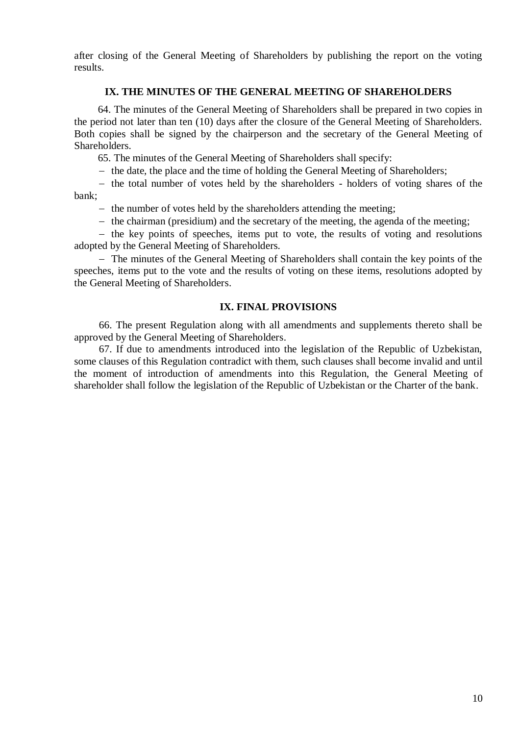after closing of the General Meeting of Shareholders by publishing the report on the voting results.

## **IX. THE MINUTES OF THE GENERAL MEETING OF SHAREHOLDERS**

64. The minutes of the General Meeting of Shareholders shall be prepared in two copies in the period not later than ten (10) days after the closure of the General Meeting of Shareholders. Both copies shall be signed by the chairperson and the secretary of the General Meeting of Shareholders.

65. The minutes of the General Meeting of Shareholders shall specify:

 $-$  the date, the place and the time of holding the General Meeting of Shareholders;

- the total number of votes held by the shareholders - holders of voting shares of the bank;

 $-$  the number of votes held by the shareholders attending the meeting;

 $-$  the chairman (presidium) and the secretary of the meeting, the agenda of the meeting;

 $-$  the key points of speeches, items put to vote, the results of voting and resolutions adopted by the General Meeting of Shareholders.

 The minutes of the General Meeting of Shareholders shall contain the key points of the speeches, items put to the vote and the results of voting on these items, resolutions adopted by the General Meeting of Shareholders.

## **IX. FINAL PROVISIONS**

66. The present Regulation along with all amendments and supplements thereto shall be approved by the General Meeting of Shareholders.

67. If due to amendments introduced into the legislation of the Republic of Uzbekistan, some clauses of this Regulation contradict with them, such clauses shall become invalid and until the moment of introduction of amendments into this Regulation, the General Meeting of shareholder shall follow the legislation of the Republic of Uzbekistan or the Charter of the bank.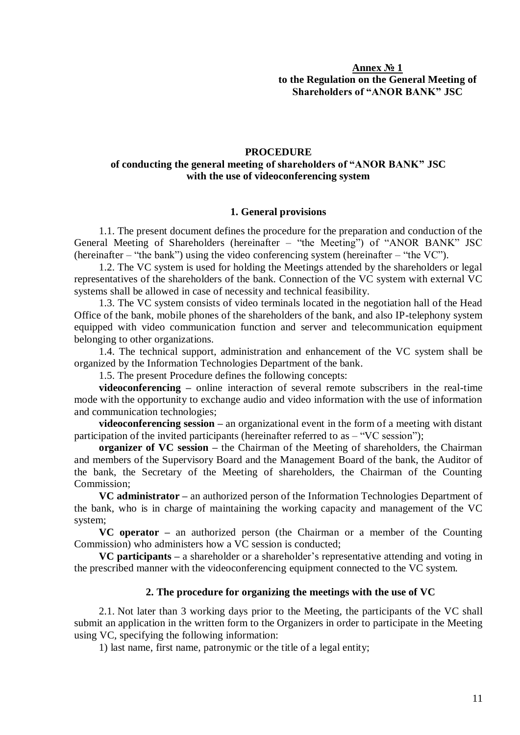## **Annex № 1 to the Regulation on the General Meeting of Shareholders of "ANOR BANK" JSC**

#### **PROCEDURE**

## **of conducting the general meeting of shareholders of "ANOR BANK" JSC with the use of videoconferencing system**

#### **1. General provisions**

1.1. The present document defines the procedure for the preparation and conduction of the General Meeting of Shareholders (hereinafter – "the Meeting") of "ANOR BANK" JSC (hereinafter – "the bank") using the video conferencing system (hereinafter – "the VC").

1.2. The VC system is used for holding the Meetings attended by the shareholders or legal representatives of the shareholders of the bank. Connection of the VC system with external VC systems shall be allowed in case of necessity and technical feasibility.

1.3. The VC system consists of video terminals located in the negotiation hall of the Head Office of the bank, mobile phones of the shareholders of the bank, and also IP-telephony system equipped with video communication function and server and telecommunication equipment belonging to other organizations.

1.4. The technical support, administration and enhancement of the VC system shall be organized by the Information Technologies Department of the bank.

1.5. The present Procedure defines the following concepts:

**videoconferencing –** online interaction of several remote subscribers in the real-time mode with the opportunity to exchange audio and video information with the use of information and communication technologies;

**videoconferencing session –** an organizational event in the form of a meeting with distant participation of the invited participants (hereinafter referred to as – "VC session");

**organizer of VC session –** the Chairman of the Meeting of shareholders, the Chairman and members of the Supervisory Board and the Management Board of the bank, the Auditor of the bank, the Secretary of the Meeting of shareholders, the Chairman of the Counting Commission;

**VC administrator –** an authorized person of the Information Technologies Department of the bank, who is in charge of maintaining the working capacity and management of the VC system;

**VC operator –** an authorized person (the Chairman or a member of the Counting Commission) who administers how a VC session is conducted;

**VC participants –** a shareholder or a shareholder's representative attending and voting in the prescribed manner with the videoconferencing equipment connected to the VC system.

#### **2. The procedure for organizing the meetings with the use of VC**

2.1. Not later than 3 working days prior to the Meeting, the participants of the VC shall submit an application in the written form to the Organizers in order to participate in the Meeting using VC, specifying the following information:

1) last name, first name, patronymic or the title of a legal entity;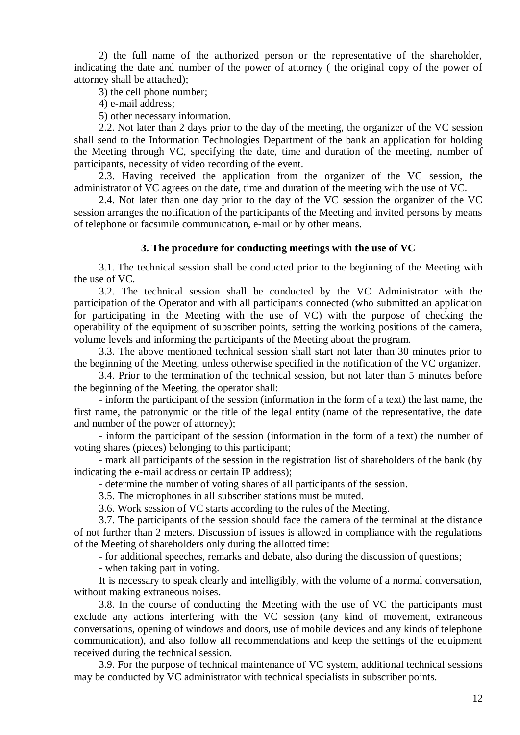2) the full name of the authorized person or the representative of the shareholder, indicating the date and number of the power of attorney ( the original copy of the power of attorney shall be attached);

3) the cell phone number;

4) e-mail address;

5) other necessary information.

2.2. Not later than 2 days prior to the day of the meeting, the organizer of the VC session shall send to the Information Technologies Department of the bank an application for holding the Meeting through VC, specifying the date, time and duration of the meeting, number of participants, necessity of video recording of the event.

2.3. Having received the application from the organizer of the VC session, the administrator of VC agrees on the date, time and duration of the meeting with the use of VC.

2.4. Not later than one day prior to the day of the VC session the organizer of the VC session arranges the notification of the participants of the Meeting and invited persons by means of telephone or facsimile communication, e-mail or by other means.

#### **3. The procedure for conducting meetings with the use of VC**

3.1. The technical session shall be conducted prior to the beginning of the Meeting with the use of VC.

3.2. The technical session shall be conducted by the VC Administrator with the participation of the Operator and with all participants connected (who submitted an application for participating in the Meeting with the use of VC) with the purpose of checking the operability of the equipment of subscriber points, setting the working positions of the camera, volume levels and informing the participants of the Meeting about the program.

3.3. The above mentioned technical session shall start not later than 30 minutes prior to the beginning of the Meeting, unless otherwise specified in the notification of the VC organizer.

3.4. Prior to the termination of the technical session, but not later than 5 minutes before the beginning of the Meeting, the operator shall:

- inform the participant of the session (information in the form of a text) the last name, the first name, the patronymic or the title of the legal entity (name of the representative, the date and number of the power of attorney);

- inform the participant of the session (information in the form of a text) the number of voting shares (pieces) belonging to this participant;

- mark all participants of the session in the registration list of shareholders of the bank (by indicating the e-mail address or certain IP address);

- determine the number of voting shares of all participants of the session.

3.5. The microphones in all subscriber stations must be muted.

3.6. Work session of VC starts according to the rules of the Meeting.

3.7. The participants of the session should face the camera of the terminal at the distance of not further than 2 meters. Discussion of issues is allowed in compliance with the regulations of the Meeting of shareholders only during the allotted time:

- for additional speeches, remarks and debate, also during the discussion of questions;

- when taking part in voting.

It is necessary to speak clearly and intelligibly, with the volume of a normal conversation, without making extraneous noises.

3.8. In the course of conducting the Meeting with the use of VC the participants must exclude any actions interfering with the VC session (any kind of movement, extraneous conversations, opening of windows and doors, use of mobile devices and any kinds of telephone communication), and also follow all recommendations and keep the settings of the equipment received during the technical session.

3.9. For the purpose of technical maintenance of VC system, additional technical sessions may be conducted by VC administrator with technical specialists in subscriber points.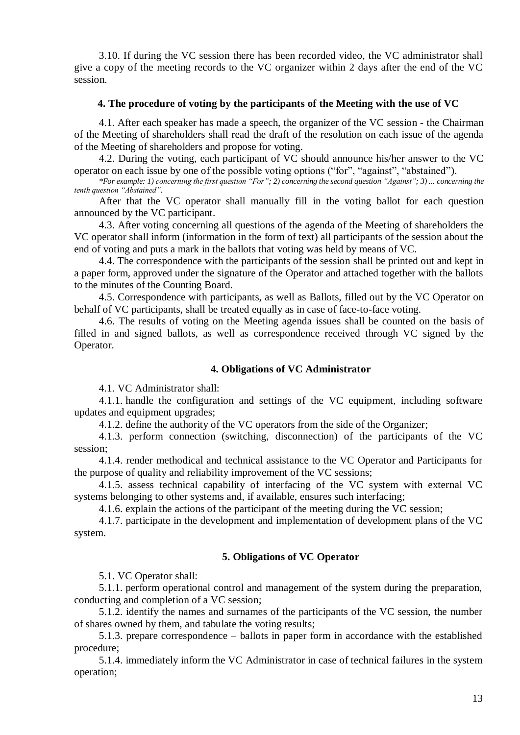3.10. If during the VC session there has been recorded video, the VC administrator shall give a copy of the meeting records to the VC organizer within 2 days after the end of the VC session.

#### **4. The procedure of voting by the participants of the Meeting with the use of VC**

4.1. After each speaker has made a speech, the organizer of the VC session - the Chairman of the Meeting of shareholders shall read the draft of the resolution on each issue of the agenda of the Meeting of shareholders and propose for voting.

4.2. During the voting, each participant of VC should announce his/her answer to the VC operator on each issue by one of the possible voting options ("for", "against", "abstained").

*\*For example: 1) concerning the first question "For"; 2) concerning the second question "Against"; 3) ... concerning the tenth question "Abstained".* 

After that the VC operator shall manually fill in the voting ballot for each question announced by the VC participant.

4.3. After voting concerning all questions of the agenda of the Meeting of shareholders the VC operator shall inform (information in the form of text) all participants of the session about the end of voting and puts a mark in the ballots that voting was held by means of VC.

4.4. The correspondence with the participants of the session shall be printed out and kept in a paper form, approved under the signature of the Operator and attached together with the ballots to the minutes of the Counting Board.

4.5. Correspondence with participants, as well as Ballots, filled out by the VC Operator on behalf of VC participants, shall be treated equally as in case of face-to-face voting.

4.6. The results of voting on the Meeting agenda issues shall be counted on the basis of filled in and signed ballots, as well as correspondence received through VC signed by the Operator.

#### **4. Obligations of VC Administrator**

4.1. VC Administrator shall:

4.1.1. handle the configuration and settings of the VC equipment, including software updates and equipment upgrades;

4.1.2. define the authority of the VC operators from the side of the Organizer;

4.1.3. perform connection (switching, disconnection) of the participants of the VC session;

4.1.4. render methodical and technical assistance to the VC Operator and Participants for the purpose of quality and reliability improvement of the VC sessions;

4.1.5. assess technical capability of interfacing of the VC system with external VC systems belonging to other systems and, if available, ensures such interfacing;

4.1.6. explain the actions of the participant of the meeting during the VC session;

4.1.7. participate in the development and implementation of development plans of the VC system.

#### **5. Obligations of VC Operator**

5.1. VC Operator shall:

5.1.1. perform operational control and management of the system during the preparation, conducting and completion of a VC session;

5.1.2. identify the names and surnames of the participants of the VC session, the number of shares owned by them, and tabulate the voting results;

5.1.3. prepare correspondence – ballots in paper form in accordance with the established procedure;

5.1.4. immediately inform the VC Administrator in case of technical failures in the system operation;